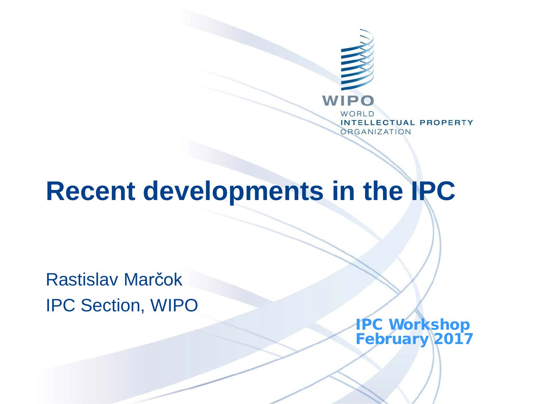

# **Recent developments in the IPC**

Rastislav Marčok IPC Section, WIPO

> IPC Workshop February 2017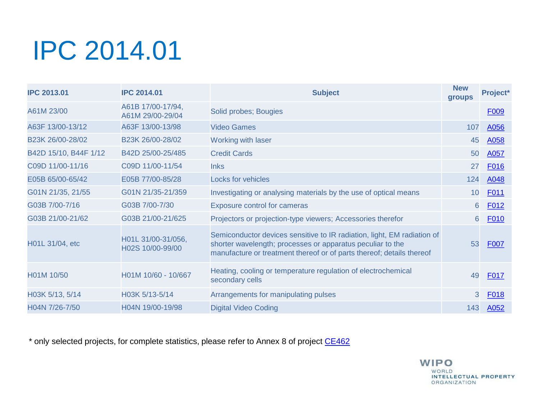# IPC 2014.01

| <b>IPC 2013.01</b>            | <b>IPC 2014.01</b>                     | <b>Subject</b>                                                                                                                                                                                                 | <b>New</b><br><b>groups</b> | Project*    |
|-------------------------------|----------------------------------------|----------------------------------------------------------------------------------------------------------------------------------------------------------------------------------------------------------------|-----------------------------|-------------|
| A61M 23/00                    | A61B 17/00-17/94,<br>A61M 29/00-29/04  | Solid probes; Bougies                                                                                                                                                                                          |                             | F009        |
| A63F 13/00-13/12              | A63F 13/00-13/98                       | Video Games                                                                                                                                                                                                    | 107                         | A056        |
| B <sub>23</sub> K 26/00-28/02 | B23K 26/00-28/02                       | Working with laser                                                                                                                                                                                             | 45                          | A058        |
| B42D 15/10, B44F 1/12         | B42D 25/00-25/485                      | <b>Credit Cards</b>                                                                                                                                                                                            | 50                          | A057        |
| C09D 11/00-11/16              | C09D 11/00-11/54                       | <b>Inks</b>                                                                                                                                                                                                    | 27                          | F016        |
| E05B 65/00-65/42              | E05B 77/00-85/28                       | <b>Locks for vehicles</b>                                                                                                                                                                                      | 124                         | A048        |
| G01N 21/35, 21/55             | G01N 21/35-21/359                      | Investigating or analysing materials by the use of optical means                                                                                                                                               | 10                          | F011        |
| G03B 7/00-7/16                | G03B 7/00-7/30                         | <b>Exposure control for cameras</b>                                                                                                                                                                            | 6                           | F012        |
| G03B 21/00-21/62              | G03B 21/00-21/625                      | Projectors or projection-type viewers; Accessories therefor                                                                                                                                                    | 6                           | <b>F010</b> |
| H01L 31/04, etc               | H01L 31/00-31/056,<br>H02S 10/00-99/00 | Semiconductor devices sensitive to IR radiation, light, EM radiation of<br>shorter wavelength; processes or apparatus peculiar to the<br>manufacture or treatment thereof or of parts thereof; details thereof | 53                          | <b>F007</b> |
| H01M 10/50                    | H01M 10/60 - 10/667                    | Heating, cooling or temperature regulation of electrochemical<br>secondary cells                                                                                                                               | 49                          | F017        |
| H03K 5/13, 5/14               | H03K 5/13-5/14                         | Arrangements for manipulating pulses                                                                                                                                                                           | 3                           | <b>F018</b> |
| H04N 7/26-7/50                | H04N 19/00-19/98                       | <b>Digital Video Coding</b>                                                                                                                                                                                    | 143                         | A052        |

\* only selected projects, for complete statistics, please refer to Annex 8 of project [CE462](https://www3.wipo.int/ipc-ief/public/ipc/en/project/4528/CE462)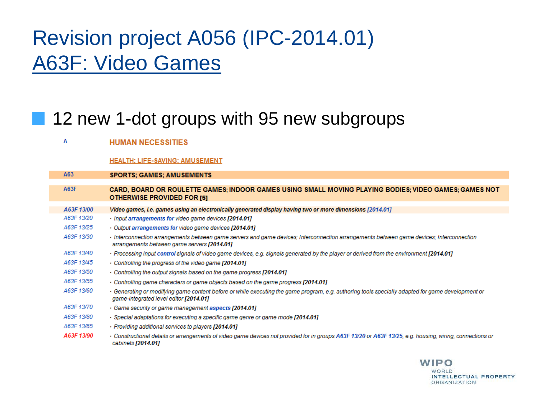## Revision project A056 (IPC-2014.01) A63F: Video Games

a a

### 12 new 1-dot groups with 95 new subgroups

| А           | <b>HUMAN NECESSITIES</b>                                                                                                                                                                    |
|-------------|---------------------------------------------------------------------------------------------------------------------------------------------------------------------------------------------|
|             | <b>HEALTH: LIFE-SAVING: AMUSEMENT</b>                                                                                                                                                       |
| A63         | <b>SPORTS: GAMES: AMUSEMENTS</b>                                                                                                                                                            |
| <b>A63F</b> | CARD, BOARD OR ROULETTE GAMES; INDOOR GAMES USING SMALL MOVING PLAYING BODIES; VIDEO GAMES; GAMES NOT<br><b>OTHERWISE PROVIDED FOR [5]</b>                                                  |
| A63F 13/00  | Video games, i.e. games using an electronically generated display having two or more dimensions [2014.01]                                                                                   |
| A63F 13/20  | · Input arrangements for video game devices [2014.01]                                                                                                                                       |
| A63F 13/25  | Output arrangements for video game devices [2014.01]                                                                                                                                        |
| A63F 13/30  | · Interconnection arrangements between game servers and game devices; Interconnection arrangements between game devices; Interconnection<br>arrangements between game servers [2014.01]     |
| A63F 13/40  | Processing input control signals of video game devices, e.g. signals generated by the player or derived from the environment [2014.01]                                                      |
| A63F 13/45  | Controlling the progress of the video game [2014.01]                                                                                                                                        |
| A63F 13/50  | Controlling the output signals based on the game progress [2014.01]                                                                                                                         |
| A63F 13/55  | • Controlling game characters or game objects based on the game progress [2014.01]                                                                                                          |
| A63F 13/60  | · Generating or modifying game content before or while executing the game program, e.g. authoring tools specially adapted for game development or<br>game-integrated level editor [2014.01] |
| A63F 13/70  | · Game security or game management aspects [2014.01]                                                                                                                                        |
| A63F 13/80  | · Special adaptations for executing a specific game genre or game mode [2014.01]                                                                                                            |
| A63F 13/85  | · Providing additional services to players [2014.01]                                                                                                                                        |
| A63F 13/90  | · Constructional details or arrangements of video game devices not provided for in groups A63F 13/20 or A63F 13/25, e.g. housing, wiring, connections or<br>cabinets [2014.01]              |

**WIPO** WORLD

INTELLECTUAL PROPERTY

**ORGANIZATION**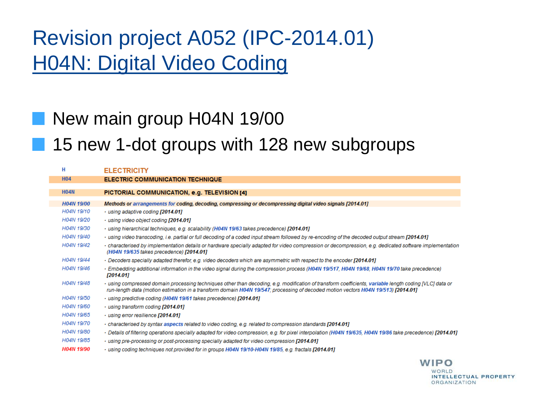## Revision project A052 (IPC-2014.01) H04N: Digital Video Coding

### New main group H04N 19/00

**15 new 1-dot groups with 128 new subgroups** 

| н                 | <b>ELECTRICITY</b>                                                                                                                                                                                                                                                                          |
|-------------------|---------------------------------------------------------------------------------------------------------------------------------------------------------------------------------------------------------------------------------------------------------------------------------------------|
| <b>H04</b>        | <b>ELECTRIC COMMUNICATION TECHNIQUE</b>                                                                                                                                                                                                                                                     |
|                   |                                                                                                                                                                                                                                                                                             |
| <b>H04N</b>       | PICTORIAL COMMUNICATION, e.g. TELEVISION [4]                                                                                                                                                                                                                                                |
| <b>H04N 19/00</b> | Methods or arrangements for coding, decoding, compressing or decompressing digital video signals [2014.01]                                                                                                                                                                                  |
| H04N 19/10        | · using adaptive coding [2014.01]                                                                                                                                                                                                                                                           |
| H04N 19/20        | · using video object coding [2014.01]                                                                                                                                                                                                                                                       |
| H04N 19/30        | · using hierarchical techniques, e.g. scalability (H04N 19/63 takes precedence) [2014.01]                                                                                                                                                                                                   |
| H04N 19/40        | · using video transcoding, i.e. partial or full decoding of a coded input stream followed by re-encoding of the decoded output stream [2014.01]                                                                                                                                             |
| H04N 19/42        | · characterised by implementation details or hardware specially adapted for video compression or decompression, e.g. dedicated software implementation<br>(H04N 19/635 takes precedence) [2014.01]                                                                                          |
| H04N 19/44        | Decoders specially adapted therefor, e.g. video decoders which are asymmetric with respect to the encoder [2014.01]                                                                                                                                                                         |
| H04N 19/46        | · Embedding additional information in the video signal during the compression process (H04N 19/517, H04N 19/68, H04N 19/70 take precedence)<br>[2014.01]                                                                                                                                    |
| H04N 19/48        | · using compressed domain processing techniques other than decoding, e.g. modification of transform coefficients, variable length coding IVLCI data or<br>run-length data (motion estimation in a transform domain H04N 19/547; processing of decoded motion vectors H04N 19/513) [2014.01] |
| H04N 19/50        | · using predictive coding (H04N 19/61 takes precedence) [2014.01]                                                                                                                                                                                                                           |
| H04N 19/60        | · using transform coding [2014.01]                                                                                                                                                                                                                                                          |
| H04N 19/65        | · using error resilience [2014.01]                                                                                                                                                                                                                                                          |
| H04N 19/70        | characterised by syntax aspects related to video coding, e.g. related to compression standards [2014.01]                                                                                                                                                                                    |
| H04N 19/80        | · Details of filtering operations specially adapted for video compression, e.g. for pixel interpolation (H04N 19/635, H04N 19/86 take precedence) [2014.01]                                                                                                                                 |
| H04N 19/85        | · using pre-processing or post-processing specially adapted for video compression [2014.01]                                                                                                                                                                                                 |
| <b>H04N 19/90</b> | Using coding techniques not provided for in groups H04N 19/10-H04N 19/85, e.g. fractals [2014.01]                                                                                                                                                                                           |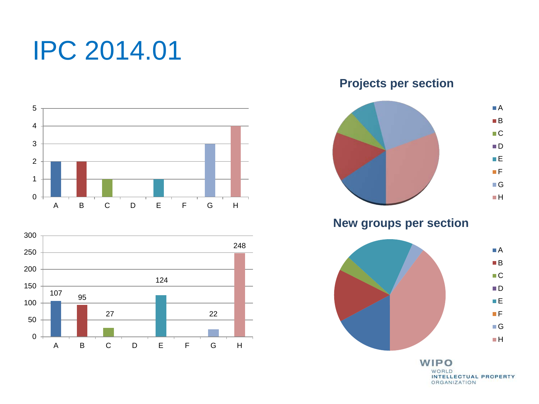# IPC 2014.01





**Projects per section**



**New groups per section**

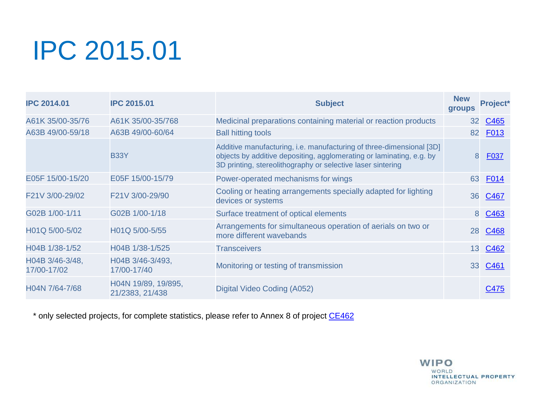# IPC 2015.01

| <b>IPC 2014.01</b>             | <b>IPC 2015.01</b>                     | <b>Subject</b>                                                                                                                                                                                              | <b>New</b><br>groups | <b>Project</b> * |
|--------------------------------|----------------------------------------|-------------------------------------------------------------------------------------------------------------------------------------------------------------------------------------------------------------|----------------------|------------------|
| A61K 35/00-35/76               | A61K 35/00-35/768                      | Medicinal preparations containing material or reaction products                                                                                                                                             | 32 <sub>2</sub>      | C465             |
| A63B 49/00-59/18               | A63B 49/00-60/64                       | <b>Ball hitting tools</b>                                                                                                                                                                                   | 82                   | F <sub>013</sub> |
|                                | <b>B33Y</b>                            | Additive manufacturing, i.e. manufacturing of three-dimensional [3D]<br>objects by additive depositing, agglomerating or laminating, e.g. by<br>3D printing, stereolithography or selective laser sintering | 8                    | <b>F037</b>      |
| E05F 15/00-15/20               | E05F 15/00-15/79                       | Power-operated mechanisms for wings                                                                                                                                                                         | 63                   | <b>F014</b>      |
| F21V 3/00-29/02                | F21V 3/00-29/90                        | Cooling or heating arrangements specially adapted for lighting<br>devices or systems                                                                                                                        |                      | 36 C467          |
| G02B 1/00-1/11                 | G02B 1/00-1/18                         | Surface treatment of optical elements                                                                                                                                                                       | 8                    | C <sub>463</sub> |
| H01Q 5/00-5/02                 | H01Q 5/00-5/55                         | Arrangements for simultaneous operation of aerials on two or<br>more different wavebands                                                                                                                    | 28                   | C468             |
| H04B 1/38-1/52                 | H04B 1/38-1/525                        | <b>Transceivers</b>                                                                                                                                                                                         | 13                   | C <sub>462</sub> |
| H04B 3/46-3/48,<br>17/00-17/02 | H04B 3/46-3/493,<br>17/00-17/40        | Monitoring or testing of transmission                                                                                                                                                                       |                      | 33 C461          |
| H04N 7/64-7/68                 | H04N 19/89, 19/895,<br>21/2383, 21/438 | Digital Video Coding (A052)                                                                                                                                                                                 |                      | C475             |

\* only selected projects, for complete statistics, please refer to Annex 8 of project [CE462](https://www3.wipo.int/ipc-ief/public/ipc/en/project/4528/CE462)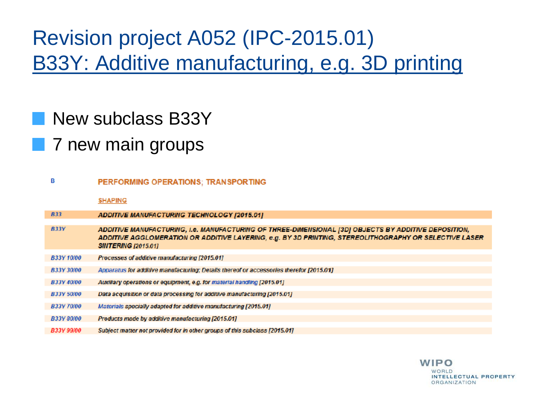## Revision project A052 (IPC-2015.01) B33Y: Additive manufacturing, e.g. 3D printing

### New subclass B33Y

### **7** new main groups

| в                 | PERFORMING OPERATIONS; TRANSPORTING                                                                                                                                                                                                          |
|-------------------|----------------------------------------------------------------------------------------------------------------------------------------------------------------------------------------------------------------------------------------------|
|                   | <b>SHAPING</b>                                                                                                                                                                                                                               |
| <b>B33</b>        | ADDITIVE MANUFACTURING TECHNOLOGY [2015.01]                                                                                                                                                                                                  |
| <b>B33Y</b>       | ADDITIVE MANUFACTURING, I.e. MANUFACTURING OF THREE-DIMENSIONAL [3D] OBJECTS BY ADDITIVE DEPOSITION,<br>ADDITIVE AGGLOMERATION OR ADDITIVE LAYERING, e.g. BY 3D PRINTING, STEREOLITHOGRAPHY OR SELECTIVE LASER<br><b>SINTERING [2015.01]</b> |
| <b>B33Y 10/00</b> | Processes of additive manufacturing [2015.01]                                                                                                                                                                                                |
| <b>B33Y 30/00</b> | Apparatus for additive manufacturing; Details thereof or accessories therefor [2015.01]                                                                                                                                                      |
| <b>B33Y 40/00</b> | Auxiliary operations or equipment, e.g. for material handling [2015.01]                                                                                                                                                                      |
| <b>B33Y 50/00</b> | Data acquisition or data processing for additive manufacturing [2015.01]                                                                                                                                                                     |
| <b>B33Y 70/00</b> | Materials specially adapted for additive manufacturing [2015.01]                                                                                                                                                                             |
| <b>B33Y 80/00</b> | Products made by additive manufacturing (2015.01)                                                                                                                                                                                            |
| B33Y 99/00        | Subject matter not provided for in other groups of this subclass [2015.01]                                                                                                                                                                   |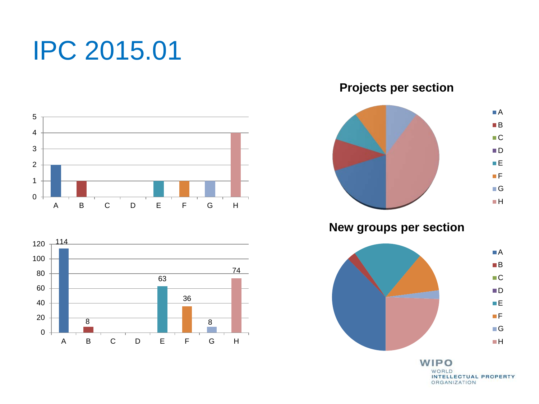# IPC 2015.01





**Projects per section**



**New groups per section**

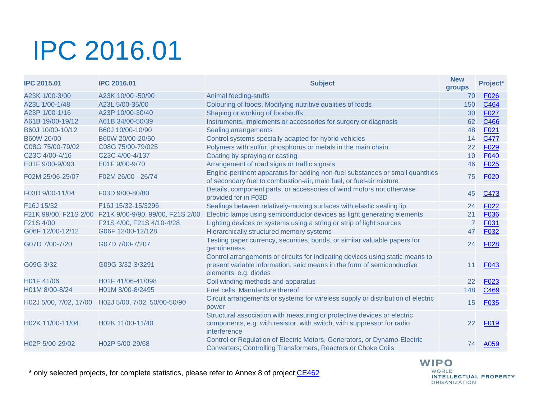# IPC 2016.01

| <b>IPC 2015.01</b>                  | <b>IPC 2016.01</b>               | <b>Subject</b>                                                                                                                                                                   |                | Project*          |
|-------------------------------------|----------------------------------|----------------------------------------------------------------------------------------------------------------------------------------------------------------------------------|----------------|-------------------|
| A23K 1/00-3/00                      | A23K 10/00 -50/90                | Animal feeding-stuffs                                                                                                                                                            | 70             | F <sub>026</sub>  |
| A23L 1/00-1/48                      | A23L 5/00-35/00                  | Colouring of foods, Modifying nutritive qualities of foods                                                                                                                       | 150            | C464              |
| A23P 1/00-1/16                      | A23P 10/00-30/40                 | Shaping or working of foodstuffs                                                                                                                                                 | 30             | F027              |
| A61B 19/00-19/12                    | A61B 34/00-50/39                 | Instruments, implements or accessories for surgery or diagnosis                                                                                                                  | 62             | C466              |
| B60J 10/00-10/12                    | B60J 10/00-10/90                 | <b>Sealing arrangements</b>                                                                                                                                                      | 48             | F021              |
| <b>B60W 20/00</b>                   | B60W 20/00-20/50                 | Control systems specially adapted for hybrid vehicles                                                                                                                            | 14             | C477              |
| C08G 75/00-79/02                    | C08G 75/00-79/025                | Polymers with sulfur, phosphorus or metals in the main chain                                                                                                                     | 22             | F <sub>029</sub>  |
| C23C 4/00-4/16                      | C23C 4/00-4/137                  | Coating by spraying or casting                                                                                                                                                   | 10             | F040              |
| E01F 9/00-9/093                     | E01F 9/00-9/70                   | Arrangement of road signs or traffic signals                                                                                                                                     | 46             | F025              |
| F02M 25/06-25/07                    | F02M 26/00 - 26/74               | Engine-pertinent apparatus for adding non-fuel substances or small quantities<br>of secondary fuel to combustion-air, main fuel, or fuel-air mixture                             | 75             | F020              |
| F03D 9/00-11/04                     | F03D 9/00-80/80                  | Details, component parts, or accessories of wind motors not otherwise<br>provided for in F03D                                                                                    | 45             | C473              |
| F <sub>16</sub> J <sub>15</sub> /32 | F16J 15/32-15/3296               | Sealings between relatively-moving surfaces with elastic sealing lip                                                                                                             | 24             | F <sub>022</sub>  |
| F21K 99/00, F21S 2/00               | F21K 9/00-9/90, 99/00, F21S 2/00 | Electric lamps using semiconductor devices as light generating elements                                                                                                          | 21             | F036              |
| F21S 4/00                           | F21S 4/00, F21S 4/10-4/28        | Lighting devices or systems using a string or strip of light sources                                                                                                             | $\overline{7}$ | F031              |
| G06F 12/00-12/12                    | G06F 12/00-12/128                | Hierarchically structured memory systems                                                                                                                                         | 47             | F032              |
| G07D 7/00-7/20                      | G07D 7/00-7/207                  | Testing paper currency, securities, bonds, or similar valuable papers for<br>genuineness                                                                                         | 24             | F <sub>028</sub>  |
| G09G 3/32                           | G09G 3/32-3/3291                 | Control arrangements or circuits for indicating devices using static means to<br>present variable information, said means in the form of semiconductive<br>elements, e.g. diodes | 11             | F043              |
| H01F41/06                           | H01F 41/06-41/098                | Coil winding methods and apparatus                                                                                                                                               | 22             | F <sub>023</sub>  |
| H01M 8/00-8/24                      | H01M 8/00-8/2495                 | Fuel cells; Manufacture thereof                                                                                                                                                  | 148            | C <sub>469</sub>  |
| H02J 5/00, 7/02, 17/00              | H02J 5/00, 7/02, 50/00-50/90     | Circuit arrangements or systems for wireless supply or distribution of electric<br>power                                                                                         | 15             | F <sub>035</sub>  |
| H02K 11/00-11/04                    | H02K 11/00-11/40                 | Structural association with measuring or protective devices or electric<br>components, e.g. with resistor, with switch, with suppressor for radio<br>interference                | 22             | F <sub>0</sub> 19 |
| H02P 5/00-29/02                     | H02P 5/00-29/68                  | Control or Regulation of Electric Motors, Generators, or Dynamo-Electric<br><b>Converters: Controlling Transformers, Reactors or Choke Coils</b>                                 | 74             | A059              |

\* only selected projects, for complete statistics, please refer to Annex 8 of project [CE462](https://www3.wipo.int/ipc-ief/public/ipc/en/project/4528/CE462)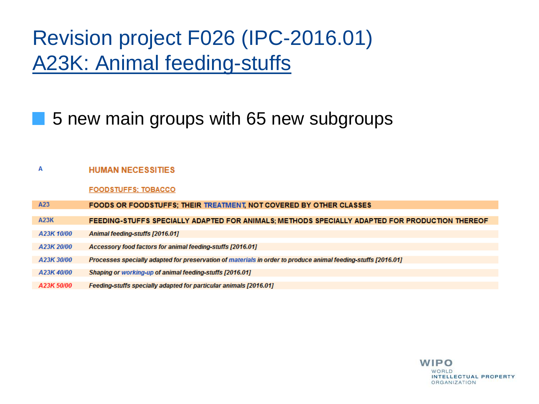## Revision project F026 (IPC-2016.01) A23K: Animal feeding-stuffs

### 5 new main groups with 65 new subgroups

#### **HUMAN NECESSITIES** A

**FOODSTUFFS: TOBACCO** 

A23 **FOODS OR FOODSTUFFS: THEIR TREATMENT NOT COVERED BY OTHER CLASSES** 

**A23K** FEEDING-STUFFS SPECIALLY ADAPTED FOR ANIMALS; METHODS SPECIALLY ADAPTED FOR PRODUCTION THEREO

- A23K 10/00 Animal feeding-stuffs [2016.01]
- A23K 20/00 Accessory food factors for animal feeding-stuffs [2016.01]
- A23K 30/00 Processes specially adapted for preservation of materials in order to produce animal feeding-stuffs [2016.01]
- A23K40/00 Shaping or working-up of animal feeding-stuffs [2016.01]
- A23K 50/00 Feeding stuffs specially adapted for particular animals [2016.01]

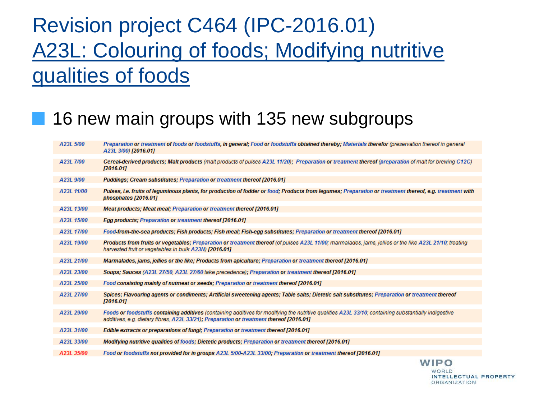## Revision project C464 (IPC-2016.01) A23L: Colouring of foods; Modifying nutritive qualities of foods

### 16 new main groups with 135 new subgroups

| A23L 5/00  | Preparation or treatment of foods or foodstuffs, in general; Food or foodstuffs obtained thereby; Materials therefor (preservation thereof in general<br>A23L 3/00) [2016.01]                                                                    |
|------------|--------------------------------------------------------------------------------------------------------------------------------------------------------------------------------------------------------------------------------------------------|
| A23L 7/00  | Cereal-derived products: Malt products (malt products of pulses A23L 11/20): Preparation or treatment thereof (preparation of malt for brewing C12C)<br>[2016.01]                                                                                |
| A23L 9/00  | Puddings; Cream substitutes; Preparation or treatment thereof [2016.01]                                                                                                                                                                          |
| A23L 11/00 | Pulses, i.e. fruits of leguminous plants, for production of fodder or food; Products from legumes; Preparation or treatment thereof, e.g. treatment with<br>phosphates [2016.01]                                                                 |
| A23L 13/00 | <b>Meat products: Meat meal: Preparation or treatment thereof [2016.01]</b>                                                                                                                                                                      |
| A23L 15/00 | Egg products; Preparation or treatment thereof [2016.01]                                                                                                                                                                                         |
| A23L 17/00 | Food-from-the-sea products; Fish products; Fish meal; Fish-egg substitutes; Preparation or treatment thereof [2016.01]                                                                                                                           |
| A23L 19/00 | Products from fruits or vegetables; Preparation or treatment thereof (of pulses A23L 11/00; marmalades, jams, jellies or the like A23L 21/10; treating<br>harvested fruit or vegetables in bulk A23N) [2016.01]                                  |
| A23L 21/00 | Marmalades, jams, jellies or the like; Products from apiculture; Preparation or treatment thereof [2016.01]                                                                                                                                      |
| A23L 23/00 | Soups; Sauces (A23L 27/50, A23L 27/60 take precedence); Preparation or treatment thereof [2016.01]                                                                                                                                               |
| A23L 25/00 | Food consisting mainly of nutmeat or seeds; Preparation or treatment thereof [2016.01]                                                                                                                                                           |
| A23L 27/00 | Spices; Flavouring agents or condiments; Artificial sweetening agents; Table salts; Dietetic salt substitutes; Preparation or treatment thereof<br>[2016.01]                                                                                     |
| A23L 29/00 | Foods or foodstuffs containing additives (containing additives for modifying the nutritive qualities A23L 33/10; containing substantially indigestive<br>additives, e.g. dietary fibres, A23L 33/21); Preparation or treatment thereof [2016.01] |
| A23L 31/00 | <b>Edible extracts or preparations of fungi: Preparation or treatment thereof [2016.01]</b>                                                                                                                                                      |
| A23L 33/00 | Modifying nutritive qualities of foods; Dietetic products; Preparation or treatment thereof [2016.01]                                                                                                                                            |
| A23L 35/00 | Food or foodstuffs not provided for in groups A23L 5/00 A23L 33/00; Preparation or treatment thereof [2016.01]                                                                                                                                   |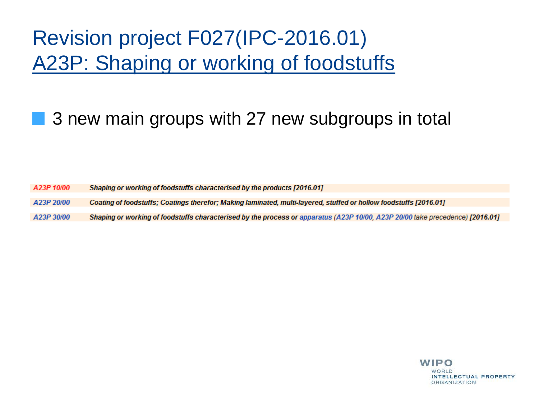## Revision project F027(IPC-2016.01) A23P: Shaping or working of foodstuffs

### 3 new main groups with 27 new subgroups in total

A23P 10/00 Shaping or working of foodstuffs characterised by the products [2016.01]

Coating of foodstuffs; Coatings therefor; Making laminated, multi-layered, stuffed or hollow foodstuffs [2016.01] A23P 20/00

A23P 30/00 Shaping or working of foodstuffs characterised by the process or apparatus (A23P 10/00, A23P 20/00 take precedence) [2016.01]

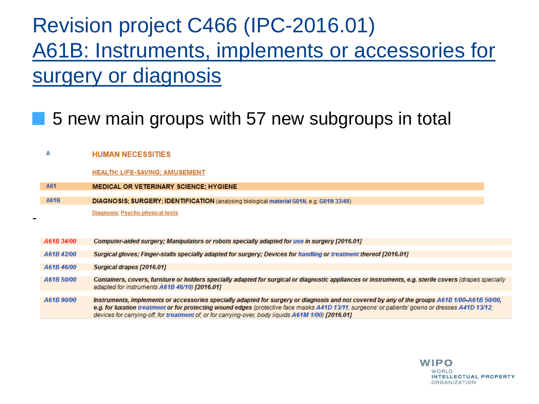## Revision project C466 (IPC-2016.01) A61B: Instruments, implements or accessories for surgery or diagnosis

### 5 new main groups with 57 new subgroups in total

#### A **HUMAN NECESSITIES**

#### **HEALTH: LIFE-SAVING: AMUSEMENT**

| A61        | <b>MEDICAL OR VETERINARY SCIENCE; HYGIENE</b>                                                                                                                                                                                                                                                    |
|------------|--------------------------------------------------------------------------------------------------------------------------------------------------------------------------------------------------------------------------------------------------------------------------------------------------|
| A61B       | DIAGNOSIS; SURGERY; IDENTIFICATION (analysing biological material G01N, e.g. G01N 33/48)                                                                                                                                                                                                         |
|            | Diagnosis; Psycho-physical tests                                                                                                                                                                                                                                                                 |
|            |                                                                                                                                                                                                                                                                                                  |
| A61B 34/00 | Computer-aided surgery; Manipulators or robots specially adapted for use in surgery [2016.01]                                                                                                                                                                                                    |
| A61B42/00  | Surgical gloves; Finger-stalls specially adapted for surgery; Devices for handling or treatment thereof [2016.01]                                                                                                                                                                                |
| A61B46/00  | Surgical drapes [2016.01]                                                                                                                                                                                                                                                                        |
| A61B 50/00 | Containers, covers, furniture or holders specially adapted for surgical or diagnostic appliances or instruments, e.g. sterile covers (drapes specially                                                                                                                                           |
|            | adapted for instruments A61B 46/10) [2016.01]                                                                                                                                                                                                                                                    |
| A61B 90/00 | Instruments, implements or accessories specially adapted for surgery or diagnosis and not covered by any of the groups A61B 1/00-A61B 50/00,<br>e.g. for luxation treatment or for protecting wound edges (protective face masks A41D 13/11; surgeons' or patients' gowns or dresses A41D 13/12; |
|            | devices for carrying-off, for treatment of, or for carrying-over, body liquids A61M 1/00) [2016.01]                                                                                                                                                                                              |

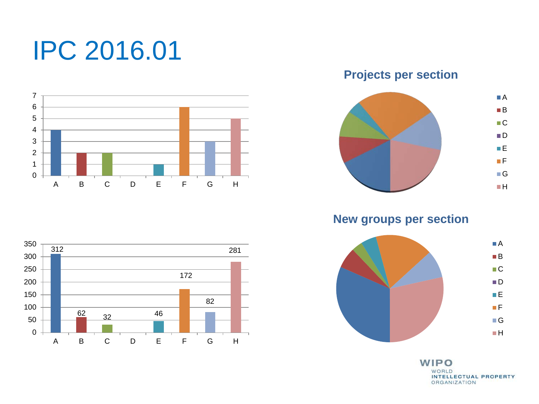# IPC 2016.01



**Projects per section**



**New groups per section**



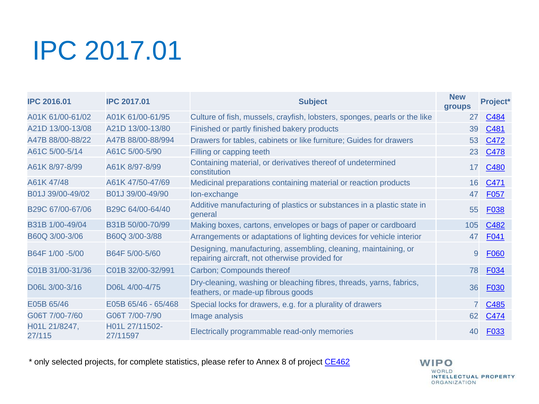# IPC 2017.01

| <b>IPC 2016.01</b>      | <b>IPC 2017.01</b>         | <b>Subject</b>                                                                                                    | <b>New</b><br>groups | Project*    |
|-------------------------|----------------------------|-------------------------------------------------------------------------------------------------------------------|----------------------|-------------|
| A01K 61/00-61/02        | A01K 61/00-61/95           | Culture of fish, mussels, crayfish, lobsters, sponges, pearls or the like                                         | 27                   | C484        |
| A21D 13/00-13/08        | A21D 13/00-13/80           | Finished or partly finished bakery products                                                                       | 39                   | C481        |
| A47B 88/00-88/22        | A47B 88/00-88/994          | Drawers for tables, cabinets or like furniture; Guides for drawers                                                | 53                   | C472        |
| A61C 5/00-5/14          | A61C 5/00-5/90             | Filling or capping teeth                                                                                          | 23                   | C478        |
| A61K 8/97-8/99          | A61K 8/97-8/99             | Containing material, or derivatives thereof of undetermined<br>constitution                                       | 17                   | C480        |
| A61K 47/48              | A61K 47/50-47/69           | Medicinal preparations containing material or reaction products                                                   | 16                   | C471        |
| B01J 39/00-49/02        | B01J 39/00-49/90           | Ion-exchange                                                                                                      | 47                   | F057        |
| B29C 67/00-67/06        | B29C 64/00-64/40           | Additive manufacturing of plastics or substances in a plastic state in<br>general                                 | 55                   | <b>F038</b> |
| B31B 1/00-49/04         | B31B 50/00-70/99           | Making boxes, cartons, envelopes or bags of paper or cardboard                                                    | 105                  | C482        |
| B60Q 3/00-3/06          | B60Q 3/00-3/88             | Arrangements or adaptations of lighting devices for vehicle interior                                              | 47                   | F041        |
| B64F 1/00 -5/00         | B64F 5/00-5/60             | Designing, manufacturing, assembling, cleaning, maintaining, or<br>repairing aircraft, not otherwise provided for | 9                    | <b>F060</b> |
| C01B 31/00-31/36        | C01B 32/00-32/991          | Carbon; Compounds thereof                                                                                         | 78                   | F034        |
| D06L 3/00-3/16          | D06L 4/00-4/75             | Dry-cleaning, washing or bleaching fibres, threads, yarns, fabrics,<br>feathers, or made-up fibrous goods         | 36                   | F030        |
| E05B 65/46              | E05B 65/46 - 65/468        | Special locks for drawers, e.g. for a plurality of drawers                                                        |                      | C485        |
| G06T 7/00-7/60          | G06T 7/00-7/90             | Image analysis                                                                                                    | 62                   | C474        |
| H01L 21/8247,<br>27/115 | H01L 27/11502-<br>27/11597 | Electrically programmable read-only memories                                                                      | 40                   | F033        |

\* only selected projects, for complete statistics, please refer to Annex 8 of project [CE462](https://www3.wipo.int/ipc-ief/public/ipc/en/project/4528/CE462)

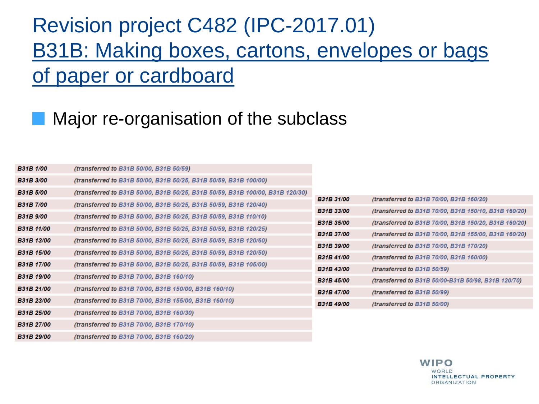## Revision project C482 (IPC-2017.01) B31B: Making boxes, cartons, envelopes or bags of paper or cardboard

### Major re-organisation of the subclass

| <b>B31B 1/00</b>  | (transferred to B31B 50/00, B31B 50/59)                                       |                   |                                                       |
|-------------------|-------------------------------------------------------------------------------|-------------------|-------------------------------------------------------|
| <b>B31B 3/00</b>  | (transferred to B31B 50/00, B31B 50/25, B31B 50/59, B31B 100/00)              |                   |                                                       |
| <b>B31B 5/00</b>  | (transferred to B31B 50/00, B31B 50/25, B31B 50/59, B31B 100/00, B31B 120/30) |                   |                                                       |
| <b>B31B 7/00</b>  | (transferred to B31B 50/00, B31B 50/25, B31B 50/59, B31B 120/40)              | <b>B31B 31/00</b> | (transferred to B31B 70/00, B31B 160/20)              |
| <b>B31B</b> 9/00  | (transferred to B31B 50/00, B31B 50/25, B31B 50/59, B31B 110/10)              | <b>B31B 33/00</b> | (transferred to B31B 70/00, B31B 150/10, B31B 160/20) |
| <b>B31B 11/00</b> | (transferred to B31B 50/00, B31B 50/25, B31B 50/59, B31B 120/25)              | <b>B31B 35/00</b> | (transferred to B31B 70/00, B31B 150/20, B31B 160/20) |
| <b>B31B 13/00</b> | (transferred to B31B 50/00, B31B 50/25, B31B 50/59, B31B 120/60)              | <b>B31B 37/00</b> | (transferred to B31B 70/00, B31B 155/00, B31B 160/20) |
|                   |                                                                               | <b>B31B 39/00</b> | (transferred to B31B 70/00, B31B 170/20)              |
| <b>B31B 15/00</b> | (transferred to B31B 50/00, B31B 50/25, B31B 50/59, B31B 120/50)              | <b>B31B 41/00</b> | (transferred to B31B 70/00, B31B 160/00)              |
| <b>B31B 17/00</b> | (transferred to B31B 50/00, B31B 50/25, B31B 50/59, B31B 105/00)              | <b>B31B 43/00</b> | (transferred to $B31B50/59$ )                         |
| <b>B31B 19/00</b> | (transferred to B31B 70/00, B31B 160/10)                                      | <b>B31B 45/00</b> | (transferred to B31B 50/00-B31B 50/98, B31B 120/70)   |
| <b>B31B 21/00</b> | (transferred to B31B 70/00, B31B 150/00, B31B 160/10)                         | <b>B31B 47/00</b> | (transferred to B31B 50/99)                           |
| <b>B31B 23/00</b> | (transferred to B31B 70/00, B31B 155/00, B31B 160/10)                         | <b>B31B 49/00</b> | (transferred to B31B 50/00)                           |
| <b>B31B 25/00</b> | (transferred to B31B 70/00, B31B 160/30)                                      |                   |                                                       |
| <b>B31B 27/00</b> | (transferred to B31B 70/00, B31B 170/10)                                      |                   |                                                       |
| <b>B31B 29/00</b> | (transferred to B31B 70/00, B31B 160/20)                                      |                   |                                                       |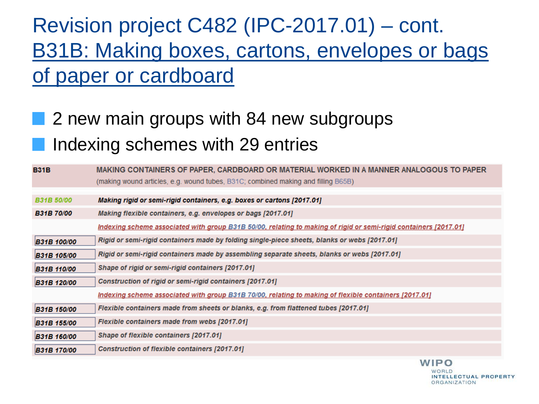## Revision project C482 (IPC-2017.01) – cont. B31B: Making boxes, cartons, envelopes or bags of paper or cardboard

## **2** new main groups with 84 new subgroups Indexing schemes with 29 entries

| <b>B31B</b>        | MAKING CONTAINERS OF PAPER, CARDBOARD OR MATERIAL WORKED IN A MANNER ANALOGOUS TO PAPER                          |
|--------------------|------------------------------------------------------------------------------------------------------------------|
|                    | (making wound articles, e.g. wound tubes, B31C; combined making and filling B65B)                                |
| <b>B31B 50/00</b>  | Making rigid or semi-rigid containers, e.g. boxes or cartons [2017.01]                                           |
|                    |                                                                                                                  |
| <b>B31B 70/00</b>  | Making flexible containers, e.g. envelopes or bags [2017.01]                                                     |
|                    | Indexing scheme associated with group B31B 50/00, relating to making of rigid or semi-rigid containers [2017.01] |
| <b>B31B 100/00</b> | Rigid or semi-rigid containers made by folding single-piece sheets, blanks or webs [2017.01]                     |
| <b>B31B 105/00</b> | Rigid or semi-rigid containers made by assembling separate sheets, blanks or webs [2017.01]                      |
| <b>B31B 110/00</b> | Shape of rigid or semi-rigid containers [2017.01]                                                                |
| B31B 120/00        | Construction of rigid or semi-rigid containers [2017.01]                                                         |
|                    | <u>Indexing scheme associated with group B31B 70/00, relating to making of flexible containers [2017.01]</u>     |
| <b>B31B 150/00</b> | Flexible containers made from sheets or blanks, e.g. from flattened tubes [2017.01]                              |
| <b>B31B 155/00</b> | Flexible containers made from webs [2017.01]                                                                     |
| <b>B31B 160/00</b> | Shape of flexible containers [2017.01]                                                                           |
| <b>B31B 170/00</b> | Construction of flexible containers [2017.01]                                                                    |

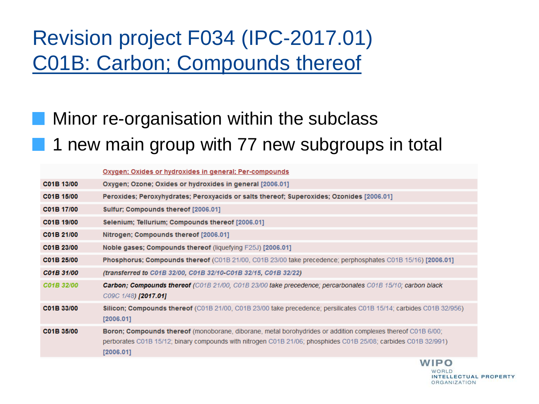## Revision project F034 (IPC-2017.01) C01B: Carbon; Compounds thereof

### Minor re-organisation within the subclass 1 new main group with 77 new subgroups in total

|            | <b>Oxygen: Oxides or hydroxides in general: Per-compounds</b>                                                                                                                                                                              |
|------------|--------------------------------------------------------------------------------------------------------------------------------------------------------------------------------------------------------------------------------------------|
| C01B 13/00 | Oxygen; Ozone; Oxides or hydroxides in general [2006.01]                                                                                                                                                                                   |
| C01B 15/00 | Peroxides; Peroxyhydrates; Peroxyacids or salts thereof; Superoxides; Ozonides [2006.01]                                                                                                                                                   |
| C01B 17/00 | Sulfur; Compounds thereof [2006.01]                                                                                                                                                                                                        |
| C01B 19/00 | Selenium; Tellurium; Compounds thereof [2006.01]                                                                                                                                                                                           |
| C01B 21/00 | Nitrogen; Compounds thereof [2006.01]                                                                                                                                                                                                      |
| C01B 23/00 | Noble gases; Compounds thereof (liquefying F25J) [2006.01]                                                                                                                                                                                 |
| C01B 25/00 | <b>Phosphorus; Compounds thereof</b> (C01B 21/00, C01B 23/00 take precedence; perphosphates C01B 15/16) [2006.01]                                                                                                                          |
| C01B 31/00 | (transferred to C01B 32/00, C01B 32/10-C01B 32/15, C01B 32/22)                                                                                                                                                                             |
| C01B 32/00 | <b>Carbon; Compounds thereof</b> (C01B 21/00, C01B 23/00 take precedence; percarbonates C01B 15/10; carbon black<br>C09C 1/48) [2017.01]                                                                                                   |
| C01B 33/00 | Silicon; Compounds thereof (C01B 21/00, C01B 23/00 take precedence; persilicates C01B 15/14; carbides C01B 32/956)<br>[2006.01]                                                                                                            |
| C01B 35/00 | Boron; Compounds thereof (monoborane, diborane, metal borohydrides or addition complexes thereof C01B 6/00;<br>perborates C01B 15/12; binary compounds with nitrogen C01B 21/06; phosphides C01B 25/08; carbides C01B 32/991)<br>[2006.01] |
|            | MIDQ                                                                                                                                                                                                                                       |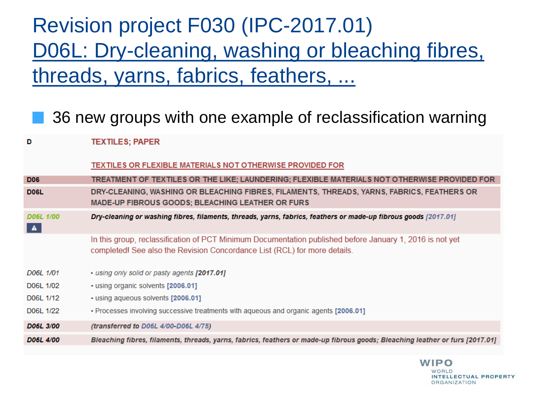## Revision project F030 (IPC-2017.01) D06L: Dry-cleaning, washing or bleaching fibres, threads, yarns, fabrics, feathers, ...

### 36 new groups with one example of reclassification warning

**TEXTILES: PAPER** D TEXTILES OR FLEXIBLE MATERIALS NOT OTHERWISE PROVIDED FOR TREATMENT OF TEXTILES OR THE LIKE; LAUNDERING; FLEXIBLE MATERIALS NOT OTHERWISE PROVIDED FOR **D06 DOGL** DRY-CLEANING, WASHING OR BLEACHING FIBRES, FILAMENTS, THREADS, YARNS, FABRICS, FEATHERS OR **MADE-UP FIBROUS GOODS: BLEACHING LEATHER OR FURS** D06L 1/00 Dry-cleaning or washing fibres, filaments, threads, yarns, fabrics, feathers or made-up fibrous goods [2017.01]  $\blacktriangle$ In this group, reclassification of PCT Minimum Documentation published before January 1, 2016 is not yet completed! See also the Revision Concordance List (RCL) for more details. D06L 1/01 • using only solid or pasty agents [2017.01] D06L 1/02 · using organic solvents [2006.01] D06L 1/12 · using aqueous solvents [2006.01] D06L 1/22 • Processes involving successive treatments with agueous and organic agents [2006.01] D06L 3/00 (transferred to D06L 4/00-D06L 4/75) D06L 4/00 Bleaching fibres, filaments, threads, yarns, fabrics, feathers or made-up fibrous goods; Bleaching leather or furs [2017.01]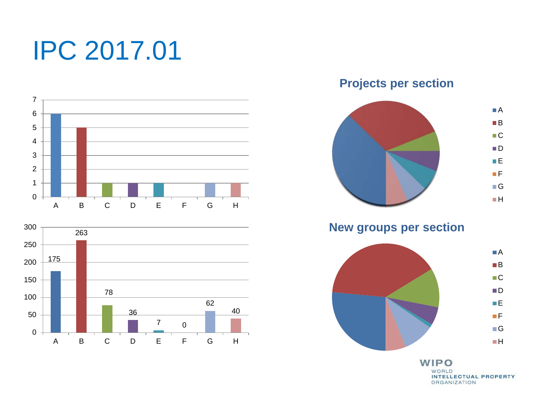# IPC 2017.01





**Projects per section**



**New groups per section**

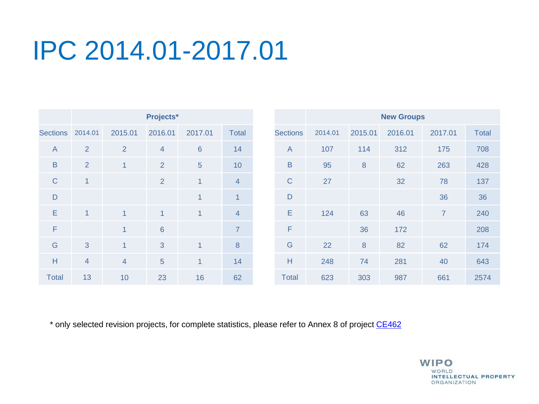|                 | Projects*      |                |                |                |                  | <b>New Groups</b> |         |         |         |                |              |
|-----------------|----------------|----------------|----------------|----------------|------------------|-------------------|---------|---------|---------|----------------|--------------|
| <b>Sections</b> | 2014.01        | 2015.01        | 2016.01        | 2017.01        | <b>Total</b>     | <b>Sections</b>   | 2014.01 | 2015.01 | 2016.01 | 2017.01        | <b>Total</b> |
| $\overline{A}$  | $\overline{2}$ | $\overline{2}$ | $\overline{4}$ | 6              | 14               | $\mathsf{A}$      | 107     | 114     | 312     | 175            | 708          |
| $\sf B$         | 2              | $\overline{1}$ | $\overline{2}$ | $\overline{5}$ | 10               | $\sf B$           | 95      | $\bf 8$ | 62      | 263            | 428          |
| $\mathsf{C}$    | 1              |                | $\overline{2}$ | $\mathbf{1}$   | $\overline{4}$   | $\mathsf{C}$      | 27      |         | 32      | 78             | 137          |
| D               |                |                |                | $\mathbf{1}$   | $\mathbf{1}$     | $\mathsf{D}$      |         |         |         | 36             | 36           |
| E               | $\mathbf{1}$   | $\mathbf{1}$   | 1              | $\mathbf{1}$   | $\overline{4}$   | E                 | 124     | 63      | 46      | $\overline{7}$ | 240          |
| F               |                | $\overline{1}$ | $6\phantom{1}$ |                | $\overline{7}$   | F                 |         | 36      | 172     |                | 208          |
| G               | 3              | $\overline{1}$ | 3              | $\mathbf{1}$   | $\boldsymbol{8}$ | ${\mathsf G}$     | 22      | $\,8\,$ | 82      | 62             | 174          |
| H               | $\overline{4}$ | $\overline{4}$ | 5              | $\overline{1}$ | 14               | Н                 | 248     | 74      | 281     | 40             | 643          |
| <b>Total</b>    | 13             | 10             | 23             | 16             | 62               | <b>Total</b>      | 623     | 303     | 987     | 661            | 2574         |

\* only selected revision projects, for complete statistics, please refer to Annex 8 of project [CE462](https://www3.wipo.int/ipc-ief/public/ipc/en/project/4528/CE462)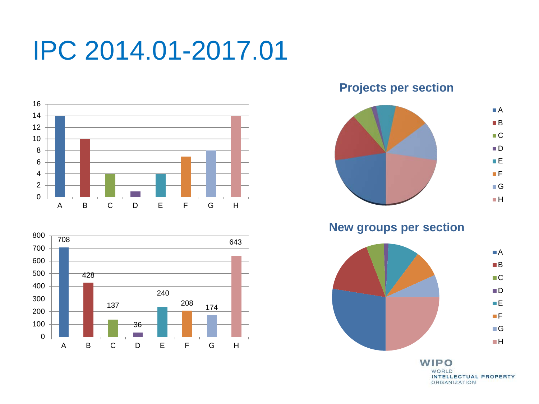



**Projects per section**



**New groups per section**

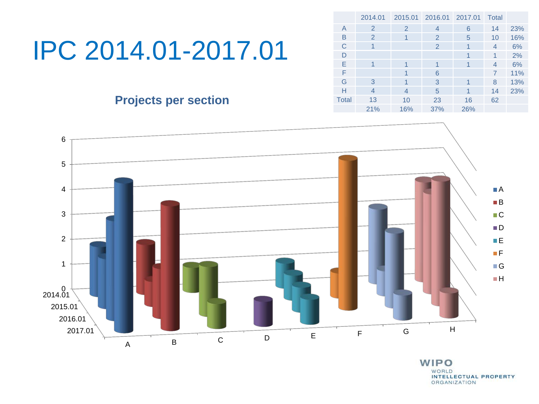### **Projects per section**

|              | 2014.01 | 2015.01        | 2016.01 2017.01 |     | Total |     |
|--------------|---------|----------------|-----------------|-----|-------|-----|
| A            | 2       | 2              | 4               | 6   | 14    | 23% |
| B            | 2       | 1              | 2               | 5   | 10    | 16% |
| C            |         |                | 2               | 1   | 4     | 6%  |
| D            |         |                |                 | 1   | 1     | 2%  |
| E            | 1       |                | 1               | 1   | 4     | 6%  |
| F            |         | 1              | 6               |     | 7     | 11% |
| G            | 3       | 1              | 3               | 1   | 8     | 13% |
| н            | 4       | $\overline{4}$ | 5               | 1   | 14    | 23% |
| <b>Total</b> | 13      | 10             | 23              | 16  | 62    |     |
|              | 21%     | 16%            | 37%             | 26% |       |     |

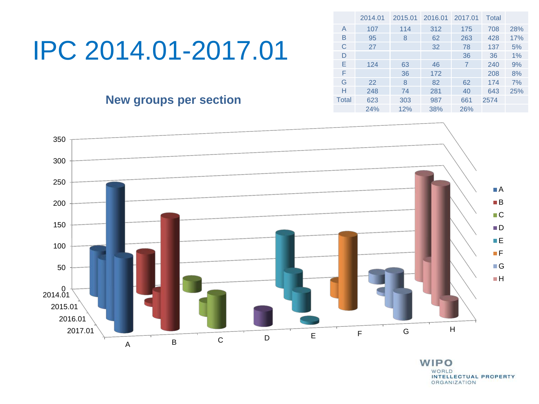|              | 2014.01 | 2015.01 | 2016.01 | 2017.01 | Total |     |
|--------------|---------|---------|---------|---------|-------|-----|
| A            | 107     | 114     | 312     | 175     | 708   | 28% |
| B            | 95      | 8       | 62      | 263     | 428   | 17% |
| C            | 27      |         | 32      | 78      | 137   | 5%  |
| D            |         |         |         | 36      | 36    | 1%  |
| E            | 124     | 63      | 46      | 7       | 240   | 9%  |
| F            |         | 36      | 172     |         | 208   | 8%  |
| G            | 22      | 8       | 82      | 62      | 174   | 7%  |
| Н            | 248     | 74      | 281     | 40      | 643   | 25% |
| <b>Total</b> | 623     | 303     | 987     | 661     | 2574  |     |
|              | 24%     | 12%     | 38%     | 26%     |       |     |

### **New groups per section**